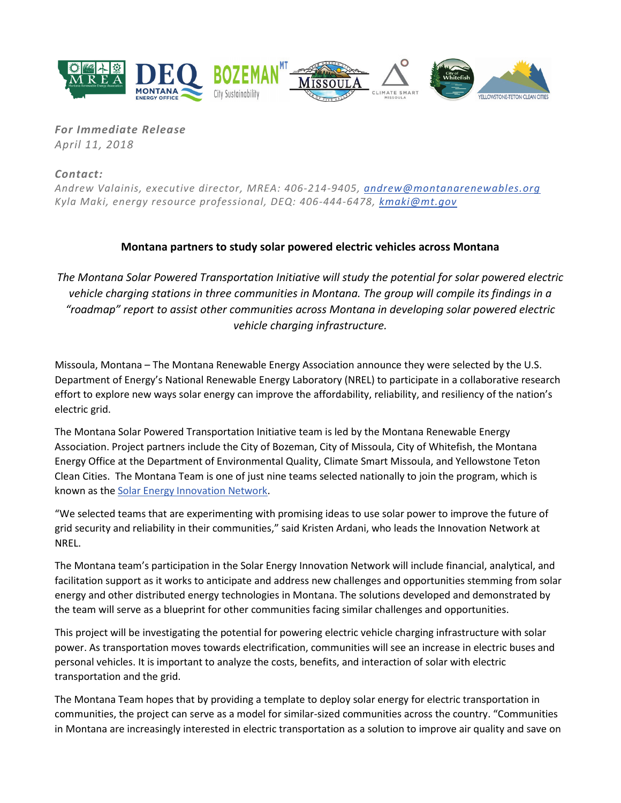

*For Immediate Release April 11, 2018*

*Contact:*

*Andrew Valainis, executive director, MREA: 406-214-9405, [andrew@montanarenewables.org](mailto:andrew@montanarenewables.org) Kyla Maki, energy resource professional, DEQ: 406-444-6478, [kmaki@mt.gov](mailto:kmaki@mt.gov)*

## **Montana partners to study solar powered electric vehicles across Montana**

*The Montana Solar Powered Transportation Initiative will study the potential for solar powered electric vehicle charging stations in three communities in Montana. The group will compile its findings in a "roadmap" report to assist other communities across Montana in developing solar powered electric vehicle charging infrastructure.* 

Missoula, Montana – The Montana Renewable Energy Association announce they were selected by the U.S. Department of Energy's National Renewable Energy Laboratory (NREL) to participate in a collaborative research effort to explore new ways solar energy can improve the affordability, reliability, and resiliency of the nation's electric grid.

The Montana Solar Powered Transportation Initiative team is led by the Montana Renewable Energy Association. Project partners include the City of Bozeman, City of Missoula, City of Whitefish, the Montana Energy Office at the Department of Environmental Quality, Climate Smart Missoula, and Yellowstone Teton Clean Cities. The Montana Team is one of just nine teams selected nationally to join the program, which is known as the [Solar Energy Innovation Network.](https://www.nrel.gov/solar/solar-energy-innovation-network.html)

"We selected teams that are experimenting with promising ideas to use solar power to improve the future of grid security and reliability in their communities," said Kristen Ardani, who leads the Innovation Network at NREL.

The Montana team's participation in the Solar Energy Innovation Network will include financial, analytical, and facilitation support as it works to anticipate and address new challenges and opportunities stemming from solar energy and other distributed energy technologies in Montana. The solutions developed and demonstrated by the team will serve as a blueprint for other communities facing similar challenges and opportunities.

This project will be investigating the potential for powering electric vehicle charging infrastructure with solar power. As transportation moves towards electrification, communities will see an increase in electric buses and personal vehicles. It is important to analyze the costs, benefits, and interaction of solar with electric transportation and the grid.

The Montana Team hopes that by providing a template to deploy solar energy for electric transportation in communities, the project can serve as a model for similar-sized communities across the country. "Communities in Montana are increasingly interested in electric transportation as a solution to improve air quality and save on